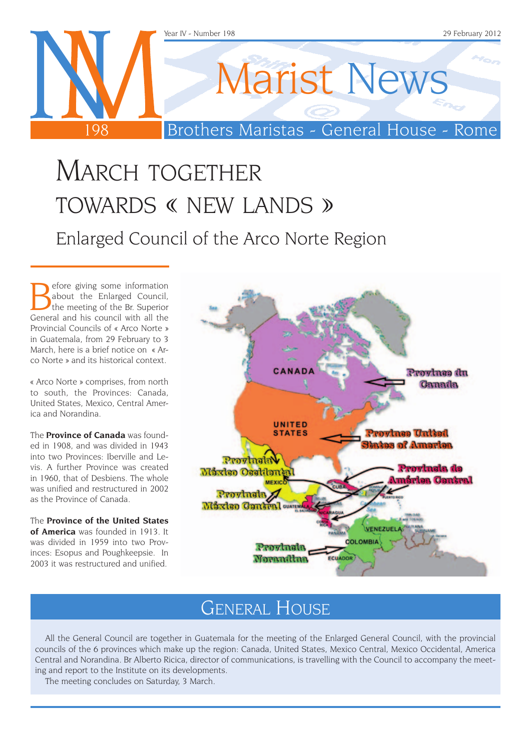

# MARCH TOGETHER towards « new lands » Enlarged Council of the Arco Norte Region

Before giving some information<br>about the Enlarged Council,<br>General and his council with all the about the Enlarged Council, General and his council with all the Provincial Councils of « Arco Norte » in Guatemala, from 29 February to 3 March, here is a brief notice on « Arco Norte » and its historical context.

« Arco Norte » comprises, from north to south, the Provinces: Canada, United States, Mexico, Central America and Norandina.

The **Province of Canada** was founded in 1908, and was divided in 1943 into two Provinces: Iberville and Levis. A further Province was created in 1960, that of Desbiens. The whole was unified and restructured in 2002 as the Province of Canada.

The **Province of the United States of America** was founded in 1913. It was divided in 1959 into two Provinces: Esopus and Poughkeepsie. In 2003 it was restructured and unified.



### GENERAL HOUSE

All the General Council are together in Guatemala for the meeting of the Enlarged General Council, with the provincial councils of the 6 provinces which make up the region: Canada, United States, Mexico Central, Mexico Occidental, America Central and Norandina. Br Alberto Ricica, director of communications, is travelling with the Council to accompany the meeting and report to the Institute on its developments.

The meeting concludes on Saturday, 3 March.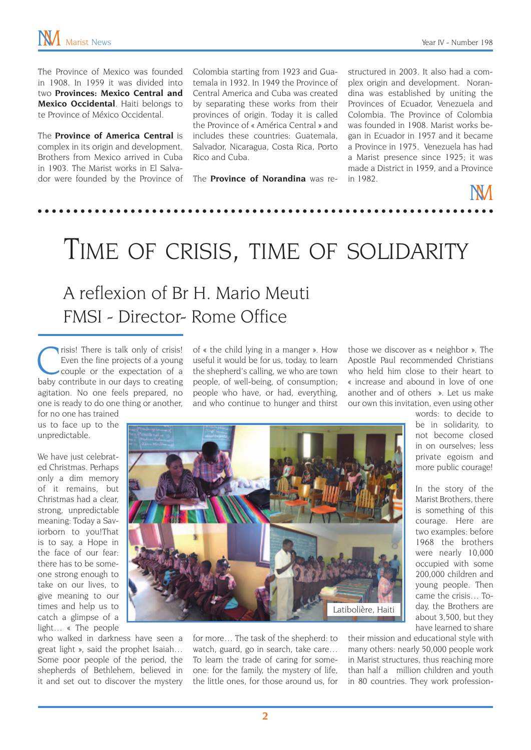The Province of Mexico was founded in 1908. In 1959 it was divided into two **Provinces: Mexico Central and Mexico Occidental**. Haiti belongs to te Province of México Occidental.

The **Province of America Central** is complex in its origin and development. Brothers from Mexico arrived in Cuba in 1903. The Marist works in El Salvador were founded by the Province of Colombia starting from 1923 and Guatemala in 1932. In 1949 the Province of Central America and Cuba was created by separating these works from their provinces of origin. Today it is called the Province of « América Central » and includes these countries: Guatemala, Salvador, Nicaragua, Costa Rica, Porto Rico and Cuba.

The **Province of Norandina** was re-

structured in 2003. It also had a complex origin and development. Norandina was established by uniting the Provinces of Ecuador, Venezuela and Colombia. The Province of Colombia was founded in 1908. Marist works began in Ecuador in 1957 and it became a Province in 1975. Venezuela has had a Marist presence since 1925; it was made a District in 1959, and a Province in 1982.

## Time of crisis, time of solidarity

### A reflexion of Br H. Mario Meuti FMSI - Director- Rome Office

Crisis! There is talk only of crisis!<br>
Even the fine projects of a young<br>
couple or the expectation of a<br>
baby contribute in our days to creating Even the fine projects of a young baby contribute in our days to creating agitation. No one feels prepared, no one is ready to do one thing or another,

of « the child lying in a manger ». How useful it would be for us, today, to learn the shepherd's calling, we who are town people, of well-being, of consumption; people who have, or had, everything, and who continue to hunger and thirst those we discover as « neighbor ». The Apostle Paul recommended Christians who held him close to their heart to « increase and abound in love of one another and of others ». Let us make our own this invitation, even using other

for no one has trained us to face up to the unpredictable.

We have just celebrated Christmas. Perhaps only a dim memory of it remains, but Christmas had a clear, strong, unpredictable meaning: Today a Saviorborn to you!That is to say, a Hope in the face of our fear: there has to be someone strong enough to take on our lives, to give meaning to our times and help us to catch a glimpse of a light… « The people



who walked in darkness have seen a great light », said the prophet Isaiah… Some poor people of the period, the shepherds of Bethlehem, believed in it and set out to discover the mystery for more… The task of the shepherd: to watch, guard, go in search, take care… To learn the trade of caring for someone: for the family, the mystery of life, the little ones, for those around us, for

words: to decide to be in solidarity, to not become closed in on ourselves; less private egoism and more public courage!

In the story of the Marist Brothers, there is something of this courage. Here are two examples: before 1968 the brothers were nearly 10,000 occupied with some 200,000 children and young people. Then came the crisis… Today, the Brothers are about 3,500, but they have learned to share

their mission and educational style with many others: nearly 50,000 people work in Marist structures, thus reaching more than half a million children and youth in 80 countries. They work profession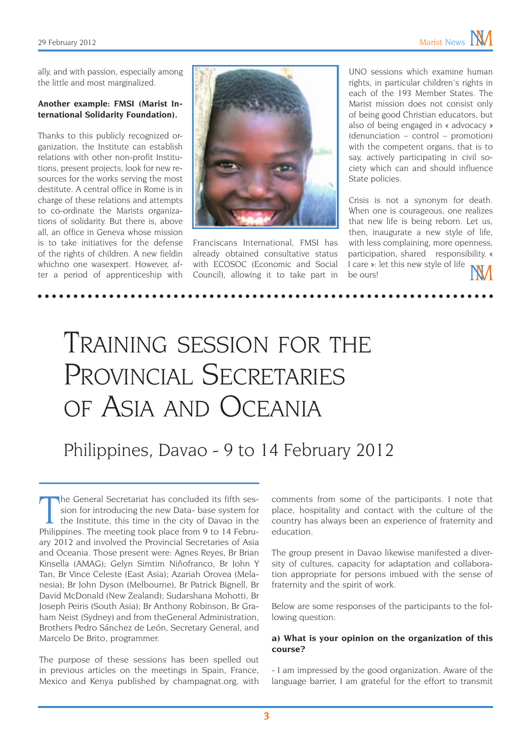ally, and with passion, especially among the little and most marginalized.

#### **Another example: FMSI (Marist International Solidarity Foundation).**

Thanks to this publicly recognized organization, the Institute can establish relations with other non-profit Institutions, present projects, look for new resources for the works serving the most destitute. A central office in Rome is in charge of these relations and attempts to co-ordinate the Marists organizations of solidarity. But there is, above all, an office in Geneva whose mission is to take initiatives for the defense of the rights of children. A new fieldin whichno one wasexpert. However, after a period of apprenticeship with



Franciscans International, FMSI has already obtained consultative status with ECOSOC (Economic and Social Council), allowing it to take part in

UNO sessions which examine human rights, in particular children's rights in each of the 193 Member States. The Marist mission does not consist only of being good Christian educators, but also of being engaged in « advocacy » (denunciation – control – promotion) with the competent organs, that is to say, actively participating in civil society which can and should influence State policies.

Crisis is not a synonym for death. When one is courageous, one realizes that new life is being reborn. Let us, then, inaugurate a new style of life, with less complaining, more openness, participation, shared responsibility. « I care »: let this new style of life be ours!

# Training session for the PROVINCIAL SECRETARIES of Asia and Oceania

Philippines, Davao - 9 to 14 February 2012

The General Secretariat has concluded its fifth session for introducing the new Data- base system for the Institute, this time in the city of Davao in the Philippines. The meeting took place from 9 to 14 Februhe General Secretariat has concluded its fifth session for introducing the new Data- base system for the Institute, this time in the city of Davao in the ary 2012 and involved the Provincial Secretaries of Asia and Oceania. Those present were: Agnes Reyes, Br Brian Kinsella (AMAG); Gelyn Simtim Niñofranco, Br John Y Tan, Br Vince Celeste (East Asia); Azariah Orovea (Melanesia); Br John Dyson (Melbourne), Br Patrick Bignell, Br David McDonald (New Zealand); Sudarshana Mohotti, Br Joseph Peiris (South Asia); Br Anthony Robinson, Br Graham Neist (Sydney) and from theGeneral Administration, Brothers Pedro Sánchez de León, Secretary General, and Marcelo De Brito, programmer.

The purpose of these sessions has been spelled out in previous articles on the meetings in Spain, France, Mexico and Kenya published by champagnat.org, with

comments from some of the participants. I note that place, hospitality and contact with the culture of the country has always been an experience of fraternity and education.

The group present in Davao likewise manifested a diversity of cultures, capacity for adaptation and collaboration appropriate for persons imbued with the sense of fraternity and the spirit of work.

Below are some responses of the participants to the following question:

#### **a) What is your opinion on the organization of this course?**

- I am impressed by the good organization. Aware of the language barrier, I am grateful for the effort to transmit